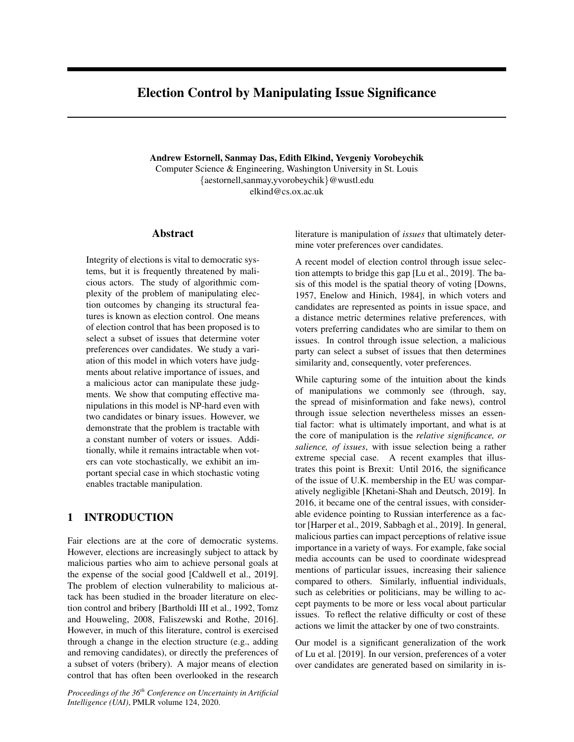# Election Control by Manipulating Issue Significance

Andrew Estornell, Sanmay Das, Edith Elkind, Yevgeniy Vorobeychik Computer Science & Engineering, Washington University in St. Louis {aestornell,sanmay,yvorobeychik}@wustl.edu elkind@cs.ox.ac.uk

### Abstract

Integrity of elections is vital to democratic systems, but it is frequently threatened by malicious actors. The study of algorithmic complexity of the problem of manipulating election outcomes by changing its structural features is known as election control. One means of election control that has been proposed is to select a subset of issues that determine voter preferences over candidates. We study a variation of this model in which voters have judgments about relative importance of issues, and a malicious actor can manipulate these judgments. We show that computing effective manipulations in this model is NP-hard even with two candidates or binary issues. However, we demonstrate that the problem is tractable with a constant number of voters or issues. Additionally, while it remains intractable when voters can vote stochastically, we exhibit an important special case in which stochastic voting enables tractable manipulation.

## 1 INTRODUCTION

Fair elections are at the core of democratic systems. However, elections are increasingly subject to attack by malicious parties who aim to achieve personal goals at the expense of the social good [Caldwell et al., 2019]. The problem of election vulnerability to malicious attack has been studied in the broader literature on election control and bribery [Bartholdi III et al., 1992, Tomz and Houweling, 2008, Faliszewski and Rothe, 2016]. However, in much of this literature, control is exercised through a change in the election structure (e.g., adding and removing candidates), or directly the preferences of a subset of voters (bribery). A major means of election control that has often been overlooked in the research

*Proceedings of the 36th Conference on Uncertainty in Artificial Intelligence (UAI)*, PMLR volume 124, 2020.

literature is manipulation of *issues* that ultimately determine voter preferences over candidates.

A recent model of election control through issue selection attempts to bridge this gap [Lu et al., 2019]. The basis of this model is the spatial theory of voting [Downs, 1957, Enelow and Hinich, 1984], in which voters and candidates are represented as points in issue space, and a distance metric determines relative preferences, with voters preferring candidates who are similar to them on issues. In control through issue selection, a malicious party can select a subset of issues that then determines similarity and, consequently, voter preferences.

While capturing some of the intuition about the kinds of manipulations we commonly see (through, say, the spread of misinformation and fake news), control through issue selection nevertheless misses an essential factor: what is ultimately important, and what is at the core of manipulation is the *relative significance, or salience, of issues*, with issue selection being a rather extreme special case. A recent examples that illustrates this point is Brexit: Until 2016, the significance of the issue of U.K. membership in the EU was comparatively negligible [Khetani-Shah and Deutsch, 2019]. In 2016, it became one of the central issues, with considerable evidence pointing to Russian interference as a factor [Harper et al., 2019, Sabbagh et al., 2019]. In general, malicious parties can impact perceptions of relative issue importance in a variety of ways. For example, fake social media accounts can be used to coordinate widespread mentions of particular issues, increasing their salience compared to others. Similarly, influential individuals, such as celebrities or politicians, may be willing to accept payments to be more or less vocal about particular issues. To reflect the relative difficulty or cost of these actions we limit the attacker by one of two constraints.

Our model is a significant generalization of the work of Lu et al. [2019]. In our version, preferences of a voter over candidates are generated based on similarity in is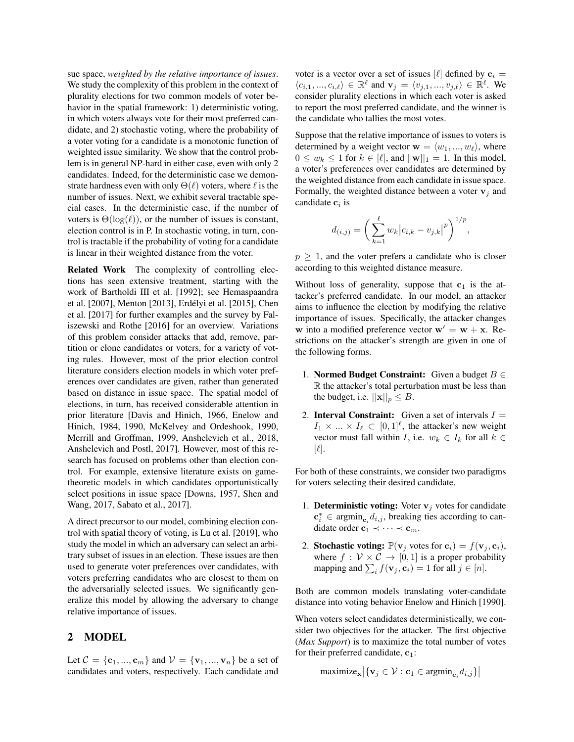sue space, *weighted by the relative importance of issues*. We study the complexity of this problem in the context of plurality elections for two common models of voter behavior in the spatial framework: 1) deterministic voting, in which voters always vote for their most preferred candidate, and 2) stochastic voting, where the probability of a voter voting for a candidate is a monotonic function of weighted issue similarity. We show that the control problem is in general NP-hard in either case, even with only 2 candidates. Indeed, for the deterministic case we demonstrate hardness even with only  $\Theta(\ell)$  voters, where  $\ell$  is the number of issues. Next, we exhibit several tractable special cases. In the deterministic case, if the number of voters is  $\Theta(\log(\ell))$ , or the number of issues is constant, election control is in P. In stochastic voting, in turn, control is tractable if the probability of voting for a candidate is linear in their weighted distance from the voter.

Related Work The complexity of controlling elections has seen extensive treatment, starting with the work of Bartholdi III et al. [1992]; see Hemaspaandra et al. [2007], Menton [2013], Erdelyi et al. [2015], Chen ´ et al. [2017] for further examples and the survey by Faliszewski and Rothe [2016] for an overview. Variations of this problem consider attacks that add, remove, partition or clone candidates or voters, for a variety of voting rules. However, most of the prior election control literature considers election models in which voter preferences over candidates are given, rather than generated based on distance in issue space. The spatial model of elections, in turn, has received considerable attention in prior literature [Davis and Hinich, 1966, Enelow and Hinich, 1984, 1990, McKelvey and Ordeshook, 1990, Merrill and Groffman, 1999, Anshelevich et al., 2018, Anshelevich and Postl, 2017]. However, most of this research has focused on problems other than election control. For example, extensive literature exists on gametheoretic models in which candidates opportunistically select positions in issue space [Downs, 1957, Shen and Wang, 2017, Sabato et al., 2017].

A direct precursor to our model, combining election control with spatial theory of voting, is Lu et al. [2019], who study the model in which an adversary can select an arbitrary subset of issues in an election. These issues are then used to generate voter preferences over candidates, with voters preferring candidates who are closest to them on the adversarially selected issues. We significantly generalize this model by allowing the adversary to change relative importance of issues.

### 2 MODEL

Let  $C = \{c_1, ..., c_m\}$  and  $V = \{v_1, ..., v_n\}$  be a set of candidates and voters, respectively. Each candidate and voter is a vector over a set of issues [ $\ell$ ] defined by  $c_i =$  $\langle c_{i,1},...,c_{i,\ell} \rangle \in \mathbb{R}^{\ell}$  and  $\mathbf{v}_j = \langle v_{j,1},...,v_{j,\ell} \rangle \in \mathbb{R}^{\ell}$ . We consider plurality elections in which each voter is asked to report the most preferred candidate, and the winner is the candidate who tallies the most votes.

Suppose that the relative importance of issues to voters is determined by a weight vector  $\mathbf{w} = \langle w_1, ..., w_\ell \rangle$ , where  $0 \leq w_k \leq 1$  for  $k \in [\ell],$  and  $||\mathbf{w}||_1 = 1$ . In this model, a voter's preferences over candidates are determined by the weighted distance from each candidate in issue space. Formally, the weighted distance between a voter  $v_i$  and candidate  $c_i$  is

$$
d_{(i,j)} = \left(\sum_{k=1}^{\ell} w_k |c_{i,k} - v_{j,k}|^p\right)^{1/p},
$$

 $p \geq 1$ , and the voter prefers a candidate who is closer according to this weighted distance measure.

Without loss of generality, suppose that  $c_1$  is the attacker's preferred candidate. In our model, an attacker aims to influence the election by modifying the relative importance of issues. Specifically, the attacker changes w into a modified preference vector  $w' = w + x$ . Restrictions on the attacker's strength are given in one of the following forms.

- 1. Normed Budget Constraint: Given a budget  $B \in$ R the attacker's total perturbation must be less than the budget, i.e.  $||\mathbf{x}||_p \leq B$ .
- 2. **Interval Constraint:** Given a set of intervals  $I =$  $I_1 \times ... \times I_\ell \subset [0,1]^\ell$ , the attacker's new weight vector must fall within I, i.e.  $w_k \in I_k$  for all  $k \in$  $|\ell|.$

For both of these constraints, we consider two paradigms for voters selecting their desired candidate.

- 1. **Deterministic voting:** Voter  $v_j$  votes for candidate  $\mathbf{c}_i^* \in \text{argmin}_{\mathbf{c}_i} d_{i,j}$ , breaking ties according to candidate order  $\mathbf{c}_1 \prec \cdots \prec \mathbf{c}_m$ .
- 2. Stochastic voting:  $\mathbb{P}(\mathbf{v}_i \text{ votes for } \mathbf{c}_i) = f(\mathbf{v}_i, \mathbf{c}_i),$ where  $f : \mathcal{V} \times \mathcal{C} \rightarrow [0, 1]$  is a proper probability mapping and  $\sum_i f(\mathbf{v}_j, \mathbf{c}_i) = 1$  for all  $j \in [n]$ .

Both are common models translating voter-candidate distance into voting behavior Enelow and Hinich [1990].

When voters select candidates deterministically, we consider two objectives for the attacker. The first objective (*Max Support*) is to maximize the total number of votes for their preferred candidate,  $c_1$ :

maximize $\mathbf{x} | \{ \mathbf{v}_j \in \mathcal{V} : \mathbf{c}_1 \in \text{argmin}_{\mathbf{c}_i} d_{i,j} \} |$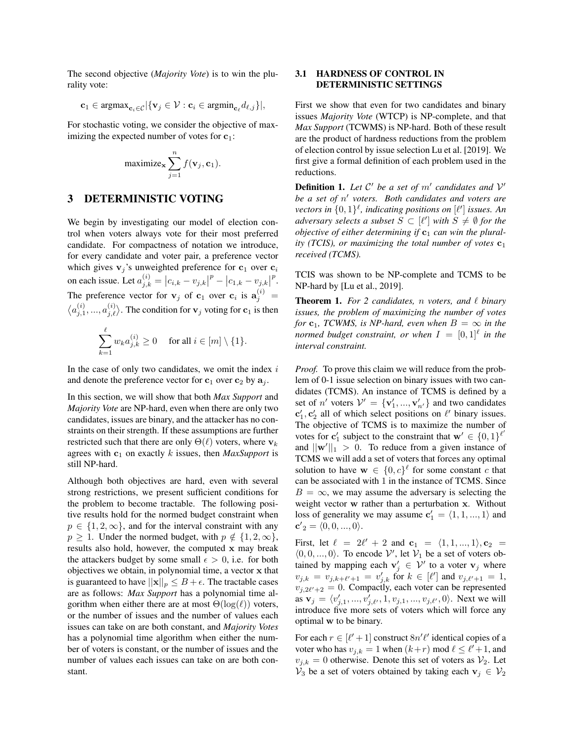The second objective (*Majority Vote*) is to win the plurality vote:

$$
\mathbf{c}_1 \in \text{argmax}_{\mathbf{c}_i \in \mathcal{C}} |\{\mathbf{v}_j \in \mathcal{V} : \mathbf{c}_i \in \text{argmin}_{\mathbf{c}_\ell} d_{\ell,j}\}|,
$$

For stochastic voting, we consider the objective of maximizing the expected number of votes for  $c_1$ :

$$
\text{maximize}_{\mathbf{x}} \sum_{j=1}^{n} f(\mathbf{v}_j, \mathbf{c}_1).
$$

### 3 DETERMINISTIC VOTING

We begin by investigating our model of election control when voters always vote for their most preferred candidate. For compactness of notation we introduce, for every candidate and voter pair, a preference vector which gives  $v_j$ 's unweighted preference for  $c_1$  over  $c_i$ on each issue. Let  $a_{j,k}^{(i)} = |c_{i,k} - v_{j,k}|$  $p - |c_{1,k} - v_{j,k}|$ p . The preference vector for  $v_j$  of  $c_1$  over  $c_i$  is  $a_j^{(i)} =$  $\langle a_{j,1}^{(i)},...,a_{j,\ell}^{(i)}\rangle$ . The condition for  $\mathbf{v}_j$  voting for  $\mathbf{c}_1$  is then

$$
\sum_{k=1}^{\ell} w_k a_{j,k}^{(i)} \ge 0 \quad \text{ for all } i \in [m] \setminus \{1\}.
$$

In the case of only two candidates, we omit the index  $i$ and denote the preference vector for  $c_1$  over  $c_2$  by  $a_j$ .

In this section, we will show that both *Max Support* and *Majority Vote* are NP-hard, even when there are only two candidates, issues are binary, and the attacker has no constraints on their strength. If these assumptions are further restricted such that there are only  $\Theta(\ell)$  voters, where  $v_k$ agrees with  $c_1$  on exactly k issues, then *MaxSupport* is still NP-hard.

Although both objectives are hard, even with several strong restrictions, we present sufficient conditions for the problem to become tractable. The following positive results hold for the normed budget constraint when  $p \in \{1, 2, \infty\}$ , and for the interval constraint with any  $p \geq 1$ . Under the normed budget, with  $p \notin \{1, 2, \infty\},$ results also hold, however, the computed x may break the attackers budget by some small  $\epsilon > 0$ , i.e. for both objectives we obtain, in polynomial time, a vector x that is guaranteed to have  $||\mathbf{x}||_p \leq B + \epsilon$ . The tractable cases are as follows: *Max Support* has a polynomial time algorithm when either there are at most  $\Theta(\log(\ell))$  voters, or the number of issues and the number of values each issues can take on are both constant, and *Majority Votes* has a polynomial time algorithm when either the number of voters is constant, or the number of issues and the number of values each issues can take on are both constant.

### 3.1 HARDNESS OF CONTROL IN DETERMINISTIC SETTINGS

First we show that even for two candidates and binary issues *Majority Vote* (WTCP) is NP-complete, and that *Max Support* (TCWMS) is NP-hard. Both of these result are the product of hardness reductions from the problem of election control by issue selection Lu et al. [2019]. We first give a formal definition of each problem used in the reductions.

**Definition 1.** Let  $C'$  be a set of  $m'$  candidates and  $V'$ be a set of  $n'$  voters. Both candidates and voters are *vectors in*  $\{0,1\}^{\ell}$ , *indicating positions on*  $[\ell']$  *issues. An adversary selects a subset*  $S \subset [\ell']$  *with*  $S \neq \emptyset$  *for the objective of either determining if*  $c_1$  *can win the plurality (TCIS), or maximizing the total number of votes*  $c_1$ *received (TCMS).*

TCIS was shown to be NP-complete and TCMS to be NP-hard by [Lu et al., 2019].

**Theorem 1.** For 2 candidates, n voters, and  $\ell$  binary *issues, the problem of maximizing the number of votes for*  $c_1$ *, TCWMS, is NP-hard, even when*  $B = \infty$  *in the normed budget constraint, or when*  $I = [0,1]^\ell$  *in the interval constraint.*

*Proof.* To prove this claim we will reduce from the problem of 0-1 issue selection on binary issues with two candidates (TCMS). An instance of TCMS is defined by a set of *n'* voters  $V' = \{v'_1, ..., v'_{n'}\}$  and two candidates  ${\bf c}'_1, {\bf c}'_2$  all of which select positions on  $\ell'$  binary issues. The objective of TCMS is to maximize the number of votes for  $\mathbf{c}'_1$  subject to the constraint that  $\mathbf{w}' \in \{0,1\}^{\ell'}$ and  $||\mathbf{w}'||_1 > 0$ . To reduce from a given instance of TCMS we will add a set of voters that forces any optimal solution to have  $\mathbf{w} \in \{0, c\}^{\ell}$  for some constant c that can be associated with 1 in the instance of TCMS. Since  $B = \infty$ , we may assume the adversary is selecting the weight vector w rather than a perturbation x. Without loss of generality we may assume  $\mathbf{c}'_1 = \langle 1, 1, ..., 1 \rangle$  and  ${\bf c'}_2 = \langle 0, 0, ..., 0 \rangle.$ 

First, let  $\ell = 2\ell' + 2$  and  $c_1 = \langle 1, 1, ..., 1 \rangle$ ,  $c_2 =$  $(0, 0, \ldots, 0)$ . To encode  $\mathcal{V}'$ , let  $\mathcal{V}_1$  be a set of voters obtained by mapping each  $\mathbf{v}'_j \in \mathcal{V}'$  to a voter  $\mathbf{v}_j$  where  $v_{j,k} = v_{j,k+\ell'+1} = v'_{j,k}$  for  $k \in [\ell']$  and  $v_{j,\ell'+1} = 1$ ,  $v_{j,2\ell'+2} = 0$ . Compactly, each voter can be represented as  $\mathbf{v}_j = \langle v'_{j,1}, ..., v'_{j,\ell'}, 1, v_{j,1}, ..., v_{j,\ell'}, 0 \rangle$ . Next we will introduce five more sets of voters which will force any optimal w to be binary.

For each  $r \in [\ell' + 1]$  construct  $8n' \ell'$  identical copies of a voter who has  $v_{j,k} = 1$  when  $(k+r)$  mod  $\ell \leq \ell' + 1$ , and  $v_{j,k} = 0$  otherwise. Denote this set of voters as  $\mathcal{V}_2$ . Let  $\mathcal{V}_3$  be a set of voters obtained by taking each  $\mathbf{v}_j \in \mathcal{V}_2$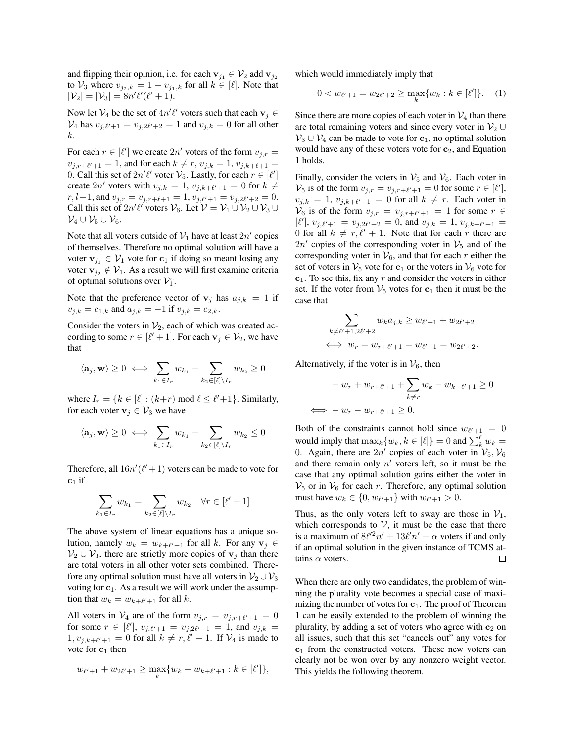and flipping their opinion, i.e. for each  $v_{j_1} \in V_2$  add  $v_{j_2}$ to  $\mathcal{V}_3$  where  $v_{j_2,k} = 1 - v_{j_1,k}$  for all  $k \in [\ell]$ . Note that  $|\mathcal{V}_2| = |\mathcal{V}_3| = 8n'\ell'(\ell'+1).$ 

Now let  $V_4$  be the set of  $4n'\ell'$  voters such that each  $\mathbf{v}_j \in$  $V_4$  has  $v_{j,\ell'+1} = v_{j,2\ell'+2} = 1$  and  $v_{j,k} = 0$  for all other k.

For each  $r \in [\ell']$  we create  $2n'$  voters of the form  $v_{j,r} =$  $v_{j,r+\ell'+1} = 1$ , and for each  $k \neq r$ ,  $v_{j,k} = 1$ ,  $v_{j,k+\ell+1} =$ 0. Call this set of  $2n'\ell'$  voter  $\mathcal{V}_5$ . Lastly, for each  $r \in [\ell']$ create  $2n'$  voters with  $v_{j,k} = 1$ ,  $v_{j,k+\ell'+1} = 0$  for  $k \neq$  $r, l+1$ , and  $v_{j,r} = v_{j,r+\ell+1} = 1$ ,  $v_{j,\ell'+1} = v_{j,2\ell'+2} = 0$ . Call this set of  $2n'\ell'$  voters  $\mathcal{V}_6$ . Let  $\mathcal{V} = \mathcal{V}_1 \cup \mathcal{V}_2 \cup \mathcal{V}_3 \cup \ell_4$  $\mathcal{V}_4 \cup \mathcal{V}_5 \cup \mathcal{V}_6$ .

Note that all voters outside of  $\mathcal{V}_1$  have at least  $2n'$  copies of themselves. Therefore no optimal solution will have a voter  $v_{i_1} \in V_1$  vote for  $c_1$  if doing so meant losing any voter  $\mathbf{v}_{i_2} \notin \mathcal{V}_1$ . As a result we will first examine criteria of optimal solutions over  $\mathcal{V}_1^c$ .

Note that the preference vector of  $v_j$  has  $a_{j,k} = 1$  if  $v_{j,k} = c_{1,k}$  and  $a_{j,k} = -1$  if  $v_{j,k} = c_{2,k}$ .

Consider the voters in  $\mathcal{V}_2$ , each of which was created according to some  $r \in [\ell' + 1]$ . For each  $v_j \in V_2$ , we have that

$$
\langle \mathbf{a}_j, \mathbf{w} \rangle \geq 0 \iff \sum_{k_1 \in I_r} w_{k_1} - \sum_{k_2 \in [\ell] \backslash I_r} w_{k_2} \geq 0
$$

where  $I_r = \{k \in [\ell] : (k+r) \text{ mod } \ell \leq \ell'+1\}$ . Similarly, for each voter  $v_j \in V_3$  we have

$$
\langle \mathbf{a}_j, \mathbf{w} \rangle \geq 0 \iff \sum_{k_1 \in I_r} w_{k_1} - \sum_{k_2 \in [\ell] \backslash I_r} w_{k_2} \leq 0
$$

Therefore, all  $16n'(\ell'+1)$  voters can be made to vote for  $c_1$  if

$$
\sum_{k_1 \in I_r} w_{k_1} = \sum_{k_2 \in [\ell] \backslash I_r} w_{k_2} \quad \forall r \in [\ell'+1]
$$

The above system of linear equations has a unique solution, namely  $w_k = w_{k+\ell'+1}$  for all k. For any  $\mathbf{v}_j \in$  $\mathcal{V}_2 \cup \mathcal{V}_3$ , there are strictly more copies of  $\mathbf{v}_j$  than there are total voters in all other voter sets combined. Therefore any optimal solution must have all voters in  $\mathcal{V}_2 \cup \mathcal{V}_3$ voting for  $c_1$ . As a result we will work under the assumption that  $w_k = w_{k+\ell'+1}$  for all k.

All voters in  $\mathcal{V}_4$  are of the form  $v_{j,r} = v_{j,r+\ell'+1} = 0$ for some  $r \in [\ell'], v_{j,\ell'+1} = v_{j,2\ell'+1} = 1$ , and  $v_{j,k} =$  $1, v_{j,k+\ell'+1} = 0$  for all  $k \neq r, \ell' + 1$ . If  $\mathcal{V}_4$  is made to vote for  $c_1$  then

$$
w_{\ell'+1} + w_{2\ell'+1} \ge \max_{k} \{ w_k + w_{k+\ell'+1} : k \in [\ell'] \},
$$

which would immediately imply that

$$
0 < w_{\ell'+1} = w_{2\ell'+2} \ge \max_{k} \{ w_k : k \in [\ell'] \}. \tag{1}
$$

Since there are more copies of each voter in  $\mathcal{V}_4$  than there are total remaining voters and since every voter in  $\mathcal{V}_2 \cup$  $\mathcal{V}_3 \cup \mathcal{V}_4$  can be made to vote for  $c_1$ , no optimal solution would have any of these voters vote for  $c_2$ , and Equation 1 holds.

Finally, consider the voters in  $\mathcal{V}_5$  and  $\mathcal{V}_6$ . Each voter in  $\mathcal{V}_5$  is of the form  $v_{j,r} = v_{j,r+\ell'+1} = 0$  for some  $r \in [\ell'],$  $v_{j,k} = 1$ ,  $v_{j,k+\ell'+1} = 0$  for all  $k \neq r$ . Each voter in  $\mathcal{V}_6$  is of the form  $v_{j,r} = v_{j,r+\ell'+1} = 1$  for some  $r \in$  $[\ell'], v_{j,\ell'+1} = v_{j,2\ell'+2} = 0$ , and  $v_{j,k} = 1, v_{j,k+\ell'+1} =$ 0 for all  $k \neq r, \ell' + 1$ . Note that for each r there are  $2n'$  copies of the corresponding voter in  $\mathcal{V}_5$  and of the corresponding voter in  $V_6$ , and that for each r either the set of voters in  $\mathcal{V}_5$  vote for  $c_1$  or the voters in  $\mathcal{V}_6$  vote for  $c_1$ . To see this, fix any r and consider the voters in either set. If the voter from  $\mathcal{V}_5$  votes for  $c_1$  then it must be the case that

$$
\sum_{k \neq \ell'+1, 2\ell'+2} w_k a_{j,k} \ge w_{\ell'+1} + w_{2\ell'+2}
$$
  

$$
\iff w_r = w_{r+\ell'+1} = w_{\ell'+1} = w_{2\ell'+2}.
$$

Alternatively, if the voter is in  $V_6$ , then

$$
-w_r + w_{r+\ell'+1} + \sum_{k \neq r} w_k - w_{k+\ell'+1} \geq 0
$$
  

$$
\iff -w_r - w_{r+\ell'+1} \geq 0.
$$

Both of the constraints cannot hold since  $w_{\ell'+1} = 0$ would imply that  $\max_k \{w_k, k \in [\ell]\} = 0$  and  $\sum_k^{\ell} w_k =$ 0. Again, there are  $2n'$  copies of each voter in  $\mathcal{V}_5, \mathcal{V}_6$ and there remain only  $n'$  voters left, so it must be the case that any optimal solution gains either the voter in  $V_5$  or in  $V_6$  for each r. Therefore, any optimal solution must have  $w_k \in \{0, w_{\ell'+1}\}$  with  $w_{\ell'+1} > 0$ .

Thus, as the only voters left to sway are those in  $\mathcal{V}_1$ , which corresponds to  $V$ , it must be the case that there is a maximum of  $8\ell'^2 n' + 13\ell' n' + \alpha$  voters if and only if an optimal solution in the given instance of TCMS attains  $\alpha$  voters.  $\Box$ 

When there are only two candidates, the problem of winning the plurality vote becomes a special case of maximizing the number of votes for  $c_1$ . The proof of Theorem 1 can be easily extended to the problem of winning the plurality, by adding a set of voters who agree with  $c_2$  on all issues, such that this set "cancels out" any votes for  $c_1$  from the constructed voters. These new voters can clearly not be won over by any nonzero weight vector. This yields the following theorem.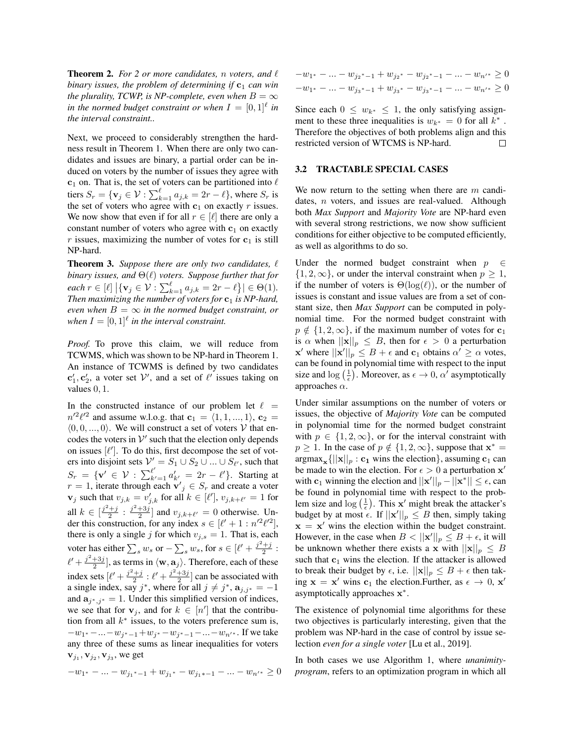**Theorem 2.** For 2 or more candidates, n voters, and  $\ell$ *binary issues, the problem of determining if*  $c_1$  *can win the plurality, TCWP, is NP-complete, even when*  $B = \infty$ in the normed budget constraint or when  $I = [0,1]^{\ell}$  in *the interval constraint..*

Next, we proceed to considerably strengthen the hardness result in Theorem 1. When there are only two candidates and issues are binary, a partial order can be induced on voters by the number of issues they agree with  $c_1$  on. That is, the set of voters can be partitioned into  $\ell$ tiers  $S_r = \{ \mathbf{v}_j \in \mathcal{V} : \sum_{k=1}^{\ell} a_{j,k} = 2r - \ell \},\$  where  $S_r$  is the set of voters who agree with  $c_1$  on exactly r issues. We now show that even if for all  $r \in [\ell]$  there are only a constant number of voters who agree with  $c_1$  on exactly r issues, maximizing the number of votes for  $c_1$  is still NP-hard.

**Theorem 3.** Suppose there are only two candidates,  $\ell$ *binary issues, and*  $\Theta(\ell)$  *voters. Suppose further that for*  $\text{each } r \in [\ell] \, \big| \{ \mathbf{v}_j \in \mathcal{V} : \sum_{k=1}^{\ell} a_{j,k} = 2r - \ell \} \big| \in \Theta(1).$ *Then maximizing the number of voters for*  $c_1$  *is NP-hard, even when*  $B = \infty$  *in the normed budget constraint, or* when  $I = [0, 1]^\ell$  in the interval constraint.

*Proof.* To prove this claim, we will reduce from TCWMS, which was shown to be NP-hard in Theorem 1. An instance of TCWMS is defined by two candidates  ${\bf c}'_1, {\bf c}'_2$ , a voter set  ${\cal V}'$ , and a set of  $\ell'$  issues taking on values 0, 1.

In the constructed instance of our problem let  $\ell =$  $n'^2 \ell'^2$  and assume w.l.o.g. that  $\mathbf{c}_1 = \langle 1, 1, ..., 1 \rangle$ ,  $\mathbf{c}_2 =$  $(0, 0, \ldots, 0)$ . We will construct a set of voters V that encodes the voters in  $V'$  such that the election only depends on issues  $[\ell']$ . To do this, first decompose the set of voters into disjoint sets  $V' = S_1 \cup S_2 \cup ... \cup S_{\ell'}$ , such that  $S_r = \{ \mathbf{v}' \in \mathcal{V} : \sum_{k'=1}^{\ell'} a'_{k'} = 2r - \ell' \}.$  Starting at  $r = 1$ , iterate through each  $\mathbf{v}'_j \in S_r$  and create a voter  $\mathbf{v}_j$  such that  $v_{j,k} = v'_{j,k}$  for all  $k \in [\ell'], v_{j,k+\ell'} = 1$  for all  $k \in \left[\frac{j^2+j}{2} : \frac{j^2+3j}{2}\right]$  and  $v_{j,k+\ell'} = 0$  otherwise. Under this construction, for any index  $s \in [\ell' + 1 : n'^2 \ell'^2],$ there is only a single j for which  $v_{j,s} = 1$ . That is, each voter has either  $\sum_s w_s$  or  $-\sum_s w_s$ , for  $s \in [\ell' + \frac{j^2+j}{2} :$  $\ell' + \frac{j^2+3j}{2}$ , as terms in  $\langle \mathbf{w}, \mathbf{a}_j \rangle$ . Therefore, each of these index sets  $[\ell' + \frac{j^2+j}{2} : \ell' + \frac{j^2+3j}{2}]$  can be associated with a single index, say  $j^*$ , where for all  $j \neq j^*$ ,  $\mathbf{a}_{j,j^*} = -1$ and  $\mathbf{a}_{j^*,j^*} = 1$ . Under this simplified version of indices, we see that for  $v_j$ , and for  $k \in [n']$  that the contribution from all  $k^*$  issues, to the voters preference sum is,  $-w_1$ \*  $-w_j$ \* $-1+w_j$ \*  $-w_j$ \* $-1$  $\cdots$  $-w_n$ ′\*. If we take any three of these sums as linear inequalities for voters  $\mathbf{v}_{j_1}, \mathbf{v}_{j_2}, \mathbf{v}_{j_3}$ , we get

$$
-w_{1^*} - \ldots - w_{j_1^* - 1} + w_{j_1^*} - w_{j_1^* - 1} - \ldots - w_{n'^*} \ge 0
$$

$$
-w_{1^*} - \dots - w_{j_2^* - 1} + w_{j_2^*} - w_{j_2^* - 1} - \dots - w_{n'}^* \ge 0
$$
  

$$
-w_{1^*} - \dots - w_{j_3^* - 1} + w_{j_3^*} - w_{j_3^* - 1} - \dots - w_{n'}^* \ge 0
$$

Since each  $0 \leq w_{k^*} \leq 1$ , the only satisfying assignment to these three inequalities is  $w_{k^*} = 0$  for all  $k^*$ . Therefore the objectives of both problems align and this restricted version of WTCMS is NP-hard. П

#### 3.2 TRACTABLE SPECIAL CASES

We now return to the setting when there are  $m$  candidates, n voters, and issues are real-valued. Although both *Max Support* and *Majority Vote* are NP-hard even with several strong restrictions, we now show sufficient conditions for either objective to be computed efficiently, as well as algorithms to do so.

Under the normed budget constraint when  $p \in \mathbb{C}$  $\{1, 2, \infty\}$ , or under the interval constraint when  $p \geq 1$ , if the number of voters is  $\Theta(\log(\ell))$ , or the number of issues is constant and issue values are from a set of constant size, then *Max Support* can be computed in polynomial time. For the normed budget constraint with  $p \notin \{1, 2, \infty\}$ , if the maximum number of votes for  $c_1$ is  $\alpha$  when  $||\mathbf{x}||_p \leq B$ , then for  $\epsilon > 0$  a perturbation  $\mathbf{x}'$  where  $\|\mathbf{x}'\|_p \leq B + \epsilon$  and  $\mathbf{c}_1$  obtains  $\alpha' \geq \alpha$  votes, can be found in polynomial time with respect to the input size and  $\log\left(\frac{1}{\epsilon}\right)$ . Moreover, as  $\epsilon \to 0$ ,  $\alpha'$  asymptotically approaches  $\alpha$ .

Under similar assumptions on the number of voters or issues, the objective of *Majority Vote* can be computed in polynomial time for the normed budget constraint with  $p \in \{1, 2, \infty\}$ , or for the interval constraint with  $p \ge 1$ . In the case of  $p \notin \{1, 2, \infty\}$ , suppose that  $\mathbf{x}^* =$  $\argmax_{\mathbf{x}} \{ ||\mathbf{x}||_p : \mathbf{c}_1 \text{ wins the election} \}, \text{assuming } \mathbf{c}_1 \text{ can}$ be made to win the election. For  $\epsilon > 0$  a perturbation  $x'$ with  $c_1$  winning the election and  $||x'||_p - ||x^*|| \leq \epsilon$ , can be found in polynomial time with respect to the problem size and  $\log\left(\frac{1}{\epsilon}\right)$ . This  $\mathbf{x}'$  might break the attacker's budget by at most  $\epsilon$ . If  $||\mathbf{x}'||_p \leq B$  then, simply taking  $x = x'$  wins the election within the budget constraint. However, in the case when  $B < ||\mathbf{x}'||_p \leq B + \epsilon$ , it will be unknown whether there exists a x with  $||\mathbf{x}||_p \leq B$ such that  $c_1$  wins the election. If the attacker is allowed to break their budget by  $\epsilon$ , i.e.  $||\mathbf{x}||_p \leq B + \epsilon$  then taking  $\mathbf{x} = \mathbf{x}'$  wins  $\mathbf{c}_1$  the election. Further, as  $\epsilon \to 0$ ,  $\mathbf{x}'$ asymptotically approaches  $x^*$ .

The existence of polynomial time algorithms for these two objectives is particularly interesting, given that the problem was NP-hard in the case of control by issue selection *even for a single voter* [Lu et al., 2019].

In both cases we use Algorithm 1, where *unanimityprogram*, refers to an optimization program in which all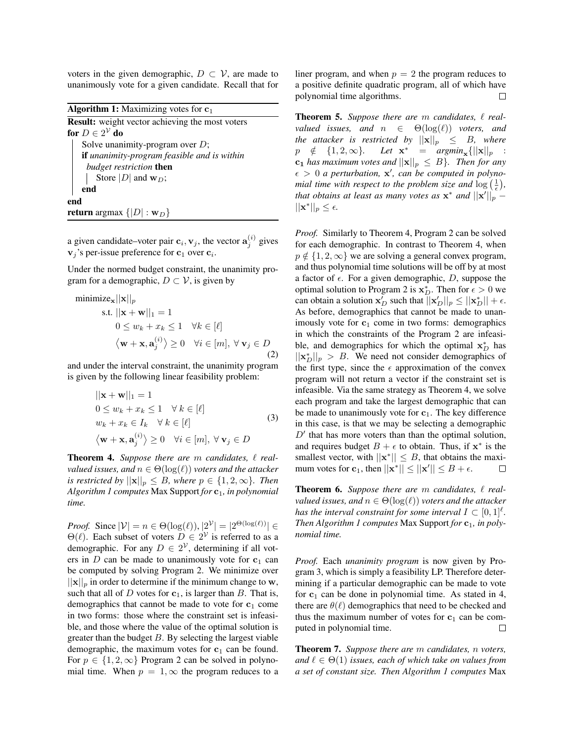voters in the given demographic,  $D \subset V$ , are made to unanimously vote for a given candidate. Recall that for

**Algorithm 1:** Maximizing votes for  $c_1$ Result: weight vector achieving the most voters for  $D\in 2^\mathcal{V}$  do Solve unanimity-program over  $D$ ; if *unanimity-program feasible and is within budget restriction* then Store  $|D|$  and  $w_D$ ; end end **return** argmax  $\{|D| : \mathbf{w}_D\}$ 

a given candidate–voter pair  $\mathbf{c}_i, \mathbf{v}_j$ , the vector  $\mathbf{a}_j^{(i)}$  gives  $\mathbf{v}_j$ 's per-issue preference for  $\mathbf{c}_1$  over  $\mathbf{c}_i$ .

Under the normed budget constraint, the unanimity program for a demographic,  $D \subset V$ , is given by

$$
\begin{aligned}\n\text{minimize}_{\mathbf{x}} ||\mathbf{x}||_p\\ \n\text{s.t. } ||\mathbf{x} + \mathbf{w}||_1 &= 1\\ \n0 \le w_k + x_k &\le 1 \quad \forall k \in [\ell] \\
\langle \mathbf{w} + \mathbf{x}, \mathbf{a}_j^{(i)} \rangle &\ge 0 \quad \forall i \in [m], \forall \, \mathbf{v}_j \in D \\
\text{(2)}\n\end{aligned}
$$

and under the interval constraint, the unanimity program is given by the following linear feasibility problem:

$$
||\mathbf{x} + \mathbf{w}||_1 = 1
$$
  
\n
$$
0 \le w_k + x_k \le 1 \quad \forall k \in [\ell]
$$
  
\n
$$
w_k + x_k \in I_k \quad \forall k \in [\ell]
$$
  
\n
$$
\langle \mathbf{w} + \mathbf{x}, \mathbf{a}_j^{(i)} \rangle \ge 0 \quad \forall i \in [m], \forall \mathbf{v}_j \in D
$$
\n(3)

**Theorem 4.** Suppose there are  $m$  candidates,  $\ell$  real*valued issues, and*  $n \in \Theta(\log(\ell))$  *voters and the attacker is restricted by*  $||\mathbf{x}||_p \leq B$ *, where*  $p \in \{1, 2, \infty\}$ *. Then Algorithm 1 computes* Max Support *for*  $c_1$ *, in polynomial time.*

*Proof.* Since  $|\mathcal{V}| = n \in \Theta(\log(\ell)), |2^{\mathcal{V}}| = |2^{\Theta(\log(\ell))}| \in$  $\Theta(\ell)$ . Each subset of voters  $D \in 2^{\mathcal{V}}$  is referred to as a demographic. For any  $D \in 2^{\mathcal{V}}$ , determining if all voters in  $D$  can be made to unanimously vote for  $c_1$  can be computed by solving Program 2. We minimize over  $||\mathbf{x}||_p$  in order to determine if the minimum change to w, such that all of D votes for  $c_1$ , is larger than B. That is, demographics that cannot be made to vote for  $c_1$  come in two forms: those where the constraint set is infeasible, and those where the value of the optimal solution is greater than the budget  $B$ . By selecting the largest viable demographic, the maximum votes for  $c_1$  can be found. For  $p \in \{1, 2, \infty\}$  Program 2 can be solved in polynomial time. When  $p = 1, \infty$  the program reduces to a

liner program, and when  $p = 2$  the program reduces to a positive definite quadratic program, all of which have polynomial time algorithms.  $\Box$ 

**Theorem 5.** Suppose there are  $m$  candidates,  $\ell$  real*valued issues, and*  $n \in \Theta(\log(\ell))$  *voters, and the attacker is restricted by*  $||\mathbf{x}||_p \leq B$ *, where*  $p \notin \{1, 2, \infty\}.$ \* =  $argmin_{\mathbf{x}} \{||\mathbf{x}||_p :$  $c_1$  *has maximum votes and*  $||\mathbf{x}||_p \leq B$ *. Then for any*  $\epsilon > 0$  a perturbation, **x'**, can be computed in polyno*mial time with respect to the problem size and*  $\log\left(\frac{1}{\epsilon}\right)$ , *that obtains at least as many votes as*  $x^*$  *and*  $||x'||_p ||\mathbf{x}^*||_p \leq \epsilon.$ 

*Proof.* Similarly to Theorem 4, Program 2 can be solved for each demographic. In contrast to Theorem 4, when  $p \notin \{1, 2, \infty\}$  we are solving a general convex program, and thus polynomial time solutions will be off by at most a factor of  $\epsilon$ . For a given demographic, D, suppose the optimal solution to Program 2 is  $\mathbf{x}_D^*$ . Then for  $\epsilon > 0$  we can obtain a solution  $\mathbf{x}'_D$  such that  $\overline{||\mathbf{x}'_D||_p} \le ||\mathbf{x}^*_D|| + \epsilon$ . As before, demographics that cannot be made to unanimously vote for  $c_1$  come in two forms: demographics in which the constraints of the Program 2 are infeasible, and demographics for which the optimal  $x_D^*$  has  $||\mathbf{x}_{D}^{*}||_{p} > B$ . We need not consider demographics of the first type, since the  $\epsilon$  approximation of the convex program will not return a vector if the constraint set is infeasible. Via the same strategy as Theorem 4, we solve each program and take the largest demographic that can be made to unanimously vote for  $c_1$ . The key difference in this case, is that we may be selecting a demographic  $D'$  that has more voters than than the optimal solution, and requires budget  $B + \epsilon$  to obtain. Thus, if  $x^*$  is the smallest vector, with  $||\mathbf{x}^*|| \leq B$ , that obtains the maximum votes for  $\mathbf{c}_1$ , then  $||\mathbf{x}^*|| \le ||\mathbf{x}'|| \le B + \epsilon$ .  $\Box$ 

**Theorem 6.** Suppose there are  $m$  candidates,  $\ell$  real*valued issues, and*  $n \in \Theta(\log(\ell))$  *voters and the attacker has the interval constraint for some interval*  $I \subset [0,1]^{\ell}$ . *Then Algorithm 1 computes* Max Support *for*  $c_1$ *, in polynomial time.*

*Proof.* Each *unanimity program* is now given by Program 3, which is simply a feasibility LP. Therefore determining if a particular demographic can be made to vote for  $c_1$  can be done in polynomial time. As stated in 4, there are  $\theta(\ell)$  demographics that need to be checked and thus the maximum number of votes for  $c_1$  can be computed in polynomial time.  $\Box$ 

Theorem 7. *Suppose there are* m *candidates,* n *voters, and*  $\ell \in \Theta(1)$  *issues, each of which take on values from a set of constant size. Then Algorithm 1 computes* Max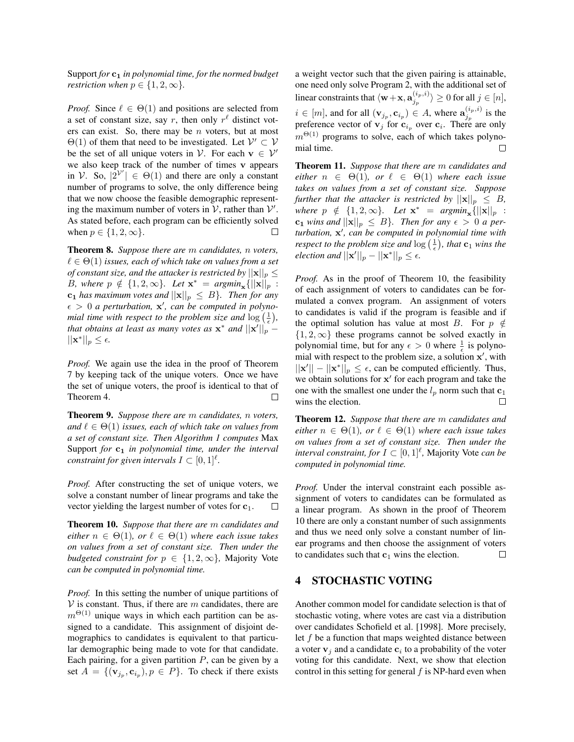Support *for* c<sup>1</sup> *in polynomial time, for the normed budget restriction when*  $p \in \{1, 2, \infty\}$ *.* 

*Proof.* Since  $\ell \in \Theta(1)$  and positions are selected from a set of constant size, say r, then only  $r^{\ell}$  distinct voters can exist. So, there may be  $n$  voters, but at most  $\Theta(1)$  of them that need to be investigated. Let  $\mathcal{V}' \subset \mathcal{V}$ be the set of all unique voters in  $\mathcal{V}$ . For each  $\mathbf{v} \in \mathcal{V}'$ we also keep track of the number of times v appears in V. So,  $|2^{V'}| \in \Theta(1)$  and there are only a constant number of programs to solve, the only difference being that we now choose the feasible demographic representing the maximum number of voters in  $\mathcal{V}$ , rather than  $\mathcal{V}'$ . As stated before, each program can be efficiently solved when  $p \in \{1, 2, \infty\}$ .

Theorem 8. *Suppose there are* m *candidates,* n *voters,*  $\ell \in \Theta(1)$  *issues, each of which take on values from a set of constant size, and the attacker is restricted by*  $||\mathbf{x}||_p \leq$ B, where  $p \notin \{1, 2, \infty\}$ . Let  $\mathbf{x}^* = \text{argmin}_{\mathbf{x}} \{||\mathbf{x}||_p :$  $c_1$  *has maximum votes and*  $||\mathbf{x}||_p \leq B$ *. Then for any*  $\epsilon > 0$  a perturbation, **x'**, can be computed in polyno*mial time with respect to the problem size and*  $\log\left(\frac{1}{\epsilon}\right)$ , *that obtains at least as many votes as*  $x^*$  *and*  $||x'||_p ||\mathbf{x}^*||_p \leq \epsilon.$ 

*Proof.* We again use the idea in the proof of Theorem 7 by keeping tack of the unique voters. Once we have the set of unique voters, the proof is identical to that of Theorem 4.  $\Box$ 

Theorem 9. *Suppose there are* m *candidates,* n *voters, and*  $\ell \in \Theta(1)$  *issues, each of which take on values from a set of constant size. Then Algorithm 1 computes* Max Support for  $c_1$  *in polynomial time, under the interval constraint for given intervals*  $I \subset [0,1]^{\ell}$ *.* 

*Proof.* After constructing the set of unique voters, we solve a constant number of linear programs and take the vector yielding the largest number of votes for  $c_1$ . □

Theorem 10. *Suppose that there are* m *candidates and either*  $n \in \Theta(1)$ *, or*  $\ell \in \Theta(1)$  *where each issue takes on values from a set of constant size. Then under the budgeted constraint for*  $p \in \{1, 2, \infty\}$ , Majority Vote *can be computed in polynomial time.*

*Proof.* In this setting the number of unique partitions of  $V$  is constant. Thus, if there are m candidates, there are  $m^{\Theta(1)}$  unique ways in which each partition can be assigned to a candidate. This assignment of disjoint demographics to candidates is equivalent to that particular demographic being made to vote for that candidate. Each pairing, for a given partition  $P$ , can be given by a set  $A = \{ (\mathbf{v}_{j_p}, \mathbf{c}_{i_p}), p \in P \}$ . To check if there exists

a weight vector such that the given pairing is attainable, one need only solve Program 2, with the additional set of linear constraints that  $\langle \mathbf{w}+\mathbf{x}, \mathbf{a}^{(i_p,i)}_{i_p}\rangle$  $\langle \frac{\mu_p, \nu}{\mu_j} \rangle \geq 0$  for all  $j \in [n],$  $i \in [m]$ , and for all  $(\mathbf{v}_{j_p}, \mathbf{c}_{i_p}) \in A$ , where  $\mathbf{a}_{j_p}^{(i_p, i)}$  $j_p^{(i_p,i)}$  is the preference vector of  $v_j$  for  $c_{i_p}$  over  $c_i$ . There are only  $m^{\Theta(1)}$  programs to solve, each of which takes polynomial time.

Theorem 11. *Suppose that there are* m *candidates and either*  $n \in \Theta(1)$ *, or*  $\ell \in \Theta(1)$  *where each issue takes on values from a set of constant size. Suppose further that the attacker is restricted by*  $||\mathbf{x}||_p \leq B$ ,  $where \np \notin \{1, 2, \infty\}$ . Let  $\mathbf{x}^* = argmin_{\mathbf{x}} \{||\mathbf{x}||_p : p \neq 0\}$  $c_1$  *wins and*  $||\mathbf{x}||_p \leq B$ *. Then for any*  $\epsilon > 0$  *a per*turbation, x', can be computed in polynomial time with *respect to the problem size and*  $\log\left(\frac{1}{\epsilon}\right)$ *, that*  $\mathbf{c}_1$  *wins the election and*  $||\mathbf{x}'||_p - ||\mathbf{x}^*||_p \le \epsilon$ .

*Proof.* As in the proof of Theorem 10, the feasibility of each assignment of voters to candidates can be formulated a convex program. An assignment of voters to candidates is valid if the program is feasible and if the optimal solution has value at most B. For  $p \notin \mathcal{L}$  $\{1, 2, \infty\}$  these programs cannot be solved exactly in polynomial time, but for any  $\epsilon > 0$  where  $\frac{1}{\epsilon}$  is polynomial with respect to the problem size, a solution  $x'$ , with  $||\mathbf{x}'|| - ||\mathbf{x}^*||_p \leq \epsilon$ , can be computed efficiently. Thus, we obtain solutions for x' for each program and take the one with the smallest one under the  $l_p$  norm such that  $c_1$ wins the election.  $\Box$ 

Theorem 12. *Suppose that there are* m *candidates and either*  $n \in \Theta(1)$ *, or*  $\ell \in \Theta(1)$  *where each issue takes on values from a set of constant size. Then under the interval constraint, for*  $I \subset [0,1]^{\ell}$ , Majority Vote *can be computed in polynomial time.*

*Proof.* Under the interval constraint each possible assignment of voters to candidates can be formulated as a linear program. As shown in the proof of Theorem 10 there are only a constant number of such assignments and thus we need only solve a constant number of linear programs and then choose the assignment of voters to candidates such that  $c_1$  wins the election.  $\Box$ 

### 4 STOCHASTIC VOTING

Another common model for candidate selection is that of stochastic voting, where votes are cast via a distribution over candidates Schofield et al. [1998]. More precisely, let  $f$  be a function that maps weighted distance between a voter  $v_j$  and a candidate  $c_i$  to a probability of the voter voting for this candidate. Next, we show that election control in this setting for general  $f$  is NP-hard even when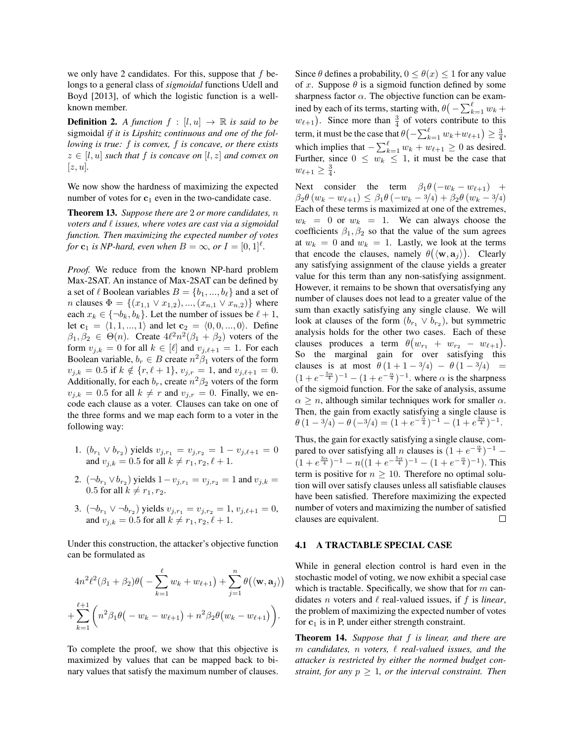we only have 2 candidates. For this, suppose that  $f$  belongs to a general class of *sigmoidal* functions Udell and Boyd [2013], of which the logistic function is a wellknown member.

**Definition 2.** *A function*  $f : [l, u] \rightarrow \mathbb{R}$  *is said to be* sigmoidal *if it is Lipshitz continuous and one of the following is true:* f *is convex,* f *is concave, or there exists*  $z \in [l, u]$  *such that* f *is concave on*  $[l, z]$  *and convex on*  $|z, u|$ .

We now show the hardness of maximizing the expected number of votes for  $c_1$  even in the two-candidate case.

Theorem 13. *Suppose there are* 2 *or more candidates,* n *voters and*  $\ell$  *issues, where votes are cast via a sigmoidal function. Then maximizing the expected number of votes for*  $\mathbf{c}_1$  *is NP-hard, even when*  $B = \infty$ *, or*  $I = [0, 1]^l$ *.* 

*Proof.* We reduce from the known NP-hard problem Max-2SAT. An instance of Max-2SAT can be defined by a set of  $\ell$  Boolean variables  $B = \{b_1, ..., b_{\ell}\}\$ and a set of *n* clauses  $\Phi = \{(x_{1,1} \vee x_{1,2}), ..., (x_{n,1} \vee x_{n,2})\}$  where each  $x_k \in \{\neg b_k, b_k\}$ . Let the number of issues be  $\ell + 1$ , let  $c_1 = \langle 1, 1, ..., 1 \rangle$  and let  $c_2 = \langle 0, 0, ..., 0 \rangle$ . Define  $\beta_1, \beta_2 \in \Theta(n)$ . Create  $4\ell^2 n^2(\beta_1 + \beta_2)$  voters of the form  $v_{j,k} = 0$  for all  $k \in [\ell]$  and  $v_{j,\ell+1} = 1$ . For each Boolean variable,  $b_r \in B$  create  $n^2 \hat{\beta}_1$  voters of the form  $v_{j,k} = 0.5$  if  $k \notin \{r, \ell + 1\}$ ,  $v_{j,r} = 1$ , and  $v_{j,\ell+1} = 0$ . Additionally, for each  $b_r$ , create  $n^2\beta_2$  voters of the form  $v_{j,k} = 0.5$  for all  $k \neq r$  and  $v_{j,r} = 0$ . Finally, we encode each clause as a voter. Clauses can take on one of the three forms and we map each form to a voter in the following way:

- 1.  $(b_{r_1} \vee b_{r_2})$  yields  $v_{j,r_1} = v_{j,r_2} = 1 v_{j,\ell+1} = 0$ and  $v_{j,k} = 0.5$  for all  $k \neq r_1, r_2, \ell + 1$ .
- 2.  $(\neg b_{r_1} \lor b_{r_2})$  yields  $1 v_{j,r_1} = v_{j,r_2} = 1$  and  $v_{j,k} =$ 0.5 for all  $k \neq r_1, r_2$ .
- 3.  $(\neg b_{r_1} \lor \neg b_{r_2})$  yields  $v_{j,r_1} = v_{j,r_2} = 1, v_{j,\ell+1} = 0$ , and  $v_{j,k} = 0.5$  for all  $k \neq r_1, r_2, \ell + 1$ .

Under this construction, the attacker's objective function can be formulated as

$$
4n^2\ell^2(\beta_1+\beta_2)\theta\big(-\sum_{k=1}^{\ell}w_k+w_{\ell+1}\big)+\sum_{j=1}^{n}\theta\big(\langle \mathbf{w}, \mathbf{a}_j \rangle\big) + \sum_{k=1}^{\ell+1}\bigg(n^2\beta_1\theta\big(-w_k-w_{\ell+1}\big)+n^2\beta_2\theta\big(w_k-w_{\ell+1}\big)\bigg).
$$

To complete the proof, we show that this objective is maximized by values that can be mapped back to binary values that satisfy the maximum number of clauses. Since  $\theta$  defines a probability,  $0 \leq \theta(x) \leq 1$  for any value of x. Suppose  $\theta$  is a sigmoid function defined by some sharpness factor  $\alpha$ . The objective function can be examined by each of its terms, starting with,  $\theta(-\sum_{k=1}^{\ell} w_k +$  $w_{\ell+1}$ ). Since more than  $\frac{3}{4}$  of voters contribute to this term, it must be the case that  $\theta \bigl( -\sum_{k=1}^{\ell} w_k \!+\! w_{\ell+1} \bigr) \ge \frac{3}{4},$ which implies that  $-\sum_{k=1}^{\ell} w_k + w_{\ell+1} \ge 0$  as desired. Further, since  $0 \leq w_k \leq 1$ , it must be the case that  $w_{\ell+1} \geq \frac{3}{4}.$ 

Next consider the term  $\beta_1 \theta \left(-w_k - w_{\ell+1}\right)$  +  $\beta_2 \theta(w_k - w_{\ell+1}) \leq \beta_1 \theta(-w_k - 3/4) + \beta_2 \theta(w_k - 3/4)$ Each of these terms is maximized at one of the extremes,  $w_k = 0$  or  $w_k = 1$ . We can always choose the coefficients  $\beta_1, \beta_2$  so that the value of the sum agrees at  $w_k = 0$  and  $w_k = 1$ . Lastly, we look at the terms that encode the clauses, namely  $\theta(\langle \mathbf{w}, \mathbf{a}_j \rangle)$ . Clearly any satisfying assignment of the clause yields a greater value for this term than any non-satisfying assignment. However, it remains to be shown that oversatisfying any number of clauses does not lead to a greater value of the sum than exactly satisfying any single clause. We will look at clauses of the form  $(b_{r_1} \vee b_{r_2})$ , but symmetric analysis holds for the other two cases. Each of these clauses produces a term  $\theta(w_{r_1} + w_{r_2} - w_{\ell+1})$ . So the marginal gain for over satisfying this clauses is at most  $\theta (1 + 1 - 3/4) - \theta (1 - 3/4) =$  $(1 + e^{-\frac{5\alpha}{4}})^{-1} - (1 + e^{-\frac{\alpha}{4}})^{-1}$ . where  $\alpha$  is the sharpness of the sigmoid function. For the sake of analysis, assume  $\alpha > n$ , although similar techniques work for smaller  $\alpha$ . Then, the gain from exactly satisfying a single clause is  $\theta(1-3/4) - \theta(-3/4) = (1 + e^{-\frac{\alpha}{4}})^{-1} - (1 + e^{\frac{3\alpha}{4}})^{-1}.$ 

Thus, the gain for exactly satisfying a single clause, compared to over satisfying all *n* clauses is  $(1 + e^{-\frac{\alpha}{4}})^{-1}$  –  $(1+e^{\frac{3\alpha}{4}})^{-1} - n((1+e^{-\frac{5\alpha}{4}})^{-1} - (1+e^{-\frac{\alpha}{4}})^{-1})$ . This term is positive for  $n \geq 10$ . Therefore no optimal solution will over satisfy clauses unless all satisfiable clauses have been satisfied. Therefore maximizing the expected number of voters and maximizing the number of satisfied clauses are equivalent. П

#### 4.1 A TRACTABLE SPECIAL CASE

While in general election control is hard even in the stochastic model of voting, we now exhibit a special case which is tractable. Specifically, we show that for  $m$  candidates *n* voters and  $\ell$  real-valued issues, if f is *linear*, the problem of maximizing the expected number of votes for  $c_1$  is in P, under either strength constraint.

Theorem 14. *Suppose that* f *is linear, and there are* m candidates, n voters,  $\ell$  real-valued issues, and the *attacker is restricted by either the normed budget constraint, for any*  $p \geq 1$ *, or the interval constraint. Then*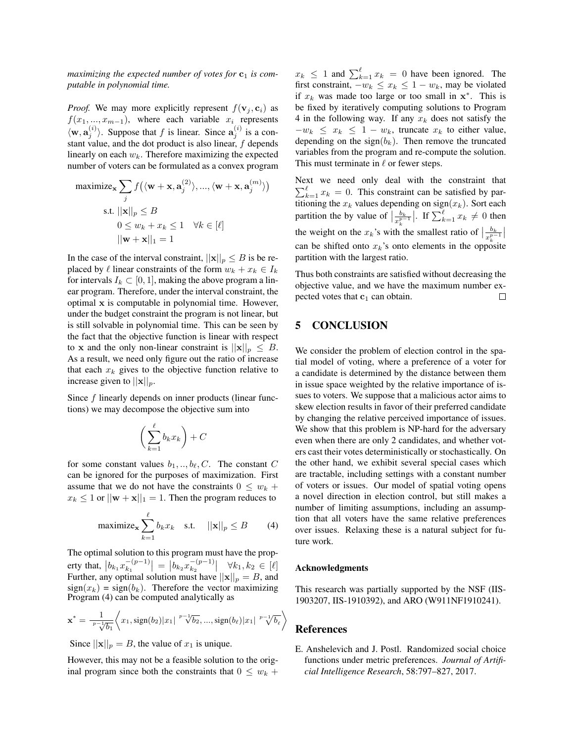*maximizing the expected number of votes for*  $c_1$  *is computable in polynomial time.*

*Proof.* We may more explicitly represent  $f(\mathbf{v}_i, \mathbf{c}_i)$  as  $f(x_1, ..., x_{m-1})$ , where each variable  $x_i$  represents  $\langle \mathbf{w}, \mathbf{a}_j^{(i)} \rangle$ . Suppose that f is linear. Since  $\mathbf{a}_j^{(i)}$  is a constant value, and the dot product is also linear,  $f$  depends linearly on each  $w_k$ . Therefore maximizing the expected number of voters can be formulated as a convex program

$$
\begin{aligned}\n\text{maximize}_{\mathbf{x}} \sum_{j} f\big(\langle \mathbf{w} + \mathbf{x}, \mathbf{a}_{j}^{(2)} \rangle, ..., \langle \mathbf{w} + \mathbf{x}, \mathbf{a}_{j}^{(m)} \rangle\big) \\
\text{s.t. } &||\mathbf{x}||_{p} \leq B \\
0 \leq w_{k} + x_{k} \leq 1 \quad \forall k \in [\ell] \\
||\mathbf{w} + \mathbf{x}||_{1} = 1\n\end{aligned}
$$

In the case of the interval constraint,  $||\mathbf{x}||_p \leq B$  is be replaced by  $\ell$  linear constraints of the form  $w_k + x_k \in I_k$ for intervals  $I_k \subset [0, 1]$ , making the above program a linear program. Therefore, under the interval constraint, the optimal x is computable in polynomial time. However, under the budget constraint the program is not linear, but is still solvable in polynomial time. This can be seen by the fact that the objective function is linear with respect to x and the only non-linear constraint is  $||\mathbf{x}||_p \leq B$ . As a result, we need only figure out the ratio of increase that each  $x_k$  gives to the objective function relative to increase given to  $||\mathbf{x}||_p$ .

Since f linearly depends on inner products (linear functions) we may decompose the objective sum into

$$
\bigg(\sum_{k=1}^{\ell} b_k x_k\bigg) + C
$$

for some constant values  $b_1, \ldots, b_\ell, C$ . The constant C can be ignored for the purposes of maximization. First assume that we do not have the constraints  $0 \leq w_k +$  $x_k \leq 1$  or  $||\mathbf{w} + \mathbf{x}||_1 = 1$ . Then the program reduces to

$$
\text{maximize}_{\mathbf{x}} \sum_{k=1}^{\ell} b_k x_k \quad \text{s.t.} \quad ||\mathbf{x}||_p \le B \tag{4}
$$

The optimal solution to this program must have the property that,  $\left| b_{k_1} x_{k_1}^{-(p-1)} \right|$  $\left. \begin{array}{c} -(p-1) \ k_1 \end{array} \right| = \left. \begin{array}{c} |b_{k_2} x_{k_2}^{-(p-1)}| \end{array} \right.$  $\vert k_{2}^{-(p-1)} \vert \quad \forall k_{1}, k_{2} \in [\ell]$ Further, any optimal solution must have  $||\mathbf{x}||_p = B$ , and  $sign(x_k) = sign(b_k)$ . Therefore the vector maximizing Program (4) can be computed analytically as

$$
\mathbf{x}^* = \frac{1}{\sqrt[p-1]{b_1}} \left\langle x_1, \text{sign}(b_2) | x_1 | \sqrt[p-1]{b_2}, \dots, \text{sign}(b_\ell) | x_1 | \sqrt[p-1]{b_\ell} \right\rangle
$$

Since  $||\mathbf{x}||_p = B$ , the value of  $x_1$  is unique.

However, this may not be a feasible solution to the original program since both the constraints that  $0 \leq w_k +$ 

 $x_k \leq 1$  and  $\sum_{k=1}^{\ell} x_k = 0$  have been ignored. The first constraint,  $-w_k \le x_k \le 1 - w_k$ , may be violated if  $x_k$  was made too large or too small in  $x^*$ . This is be fixed by iteratively computing solutions to Program 4 in the following way. If any  $x_k$  does not satisfy the  $-w_k \leq x_k \leq 1 - w_k$ , truncate  $x_k$  to either value, depending on the sign( $b_k$ ). Then remove the truncated variables from the program and re-compute the solution. This must terminate in  $\ell$  or fewer steps.

Next we need only deal with the constraint that  $\sum_{k=1}^{\ell} x_k = 0$ . This constraint can be satisfied by partitioning the  $x_k$  values depending on sign $(x_k)$ . Sort each partition the by value of  $\left| \frac{b_k}{x_k^{p-1}} \right|$  $\frac{b_k}{x_k^{p-1}}$ . If  $\sum_{k=1}^{\ell} x_k \neq 0$  then the weight on the  $x_k$ 's with the smallest ratio of  $\left| \frac{b_k}{x_k^p} \right|$  $\frac{b_k}{x_k^{p-1}}$ can be shifted onto  $x_k$ 's onto elements in the opposite partition with the largest ratio.

Thus both constraints are satisfied without decreasing the objective value, and we have the maximum number expected votes that  $c_1$  can obtain.  $\Box$ 

### 5 CONCLUSION

We consider the problem of election control in the spatial model of voting, where a preference of a voter for a candidate is determined by the distance between them in issue space weighted by the relative importance of issues to voters. We suppose that a malicious actor aims to skew election results in favor of their preferred candidate by changing the relative perceived importance of issues. We show that this problem is NP-hard for the adversary even when there are only 2 candidates, and whether voters cast their votes deterministically or stochastically. On the other hand, we exhibit several special cases which are tractable, including settings with a constant number of voters or issues. Our model of spatial voting opens a novel direction in election control, but still makes a number of limiting assumptions, including an assumption that all voters have the same relative preferences over issues. Relaxing these is a natural subject for future work.

#### Acknowledgments

This research was partially supported by the NSF (IIS-1903207, IIS-1910392), and ARO (W911NF1910241).

### References

E. Anshelevich and J. Postl. Randomized social choice functions under metric preferences. *Journal of Artificial Intelligence Research*, 58:797–827, 2017.